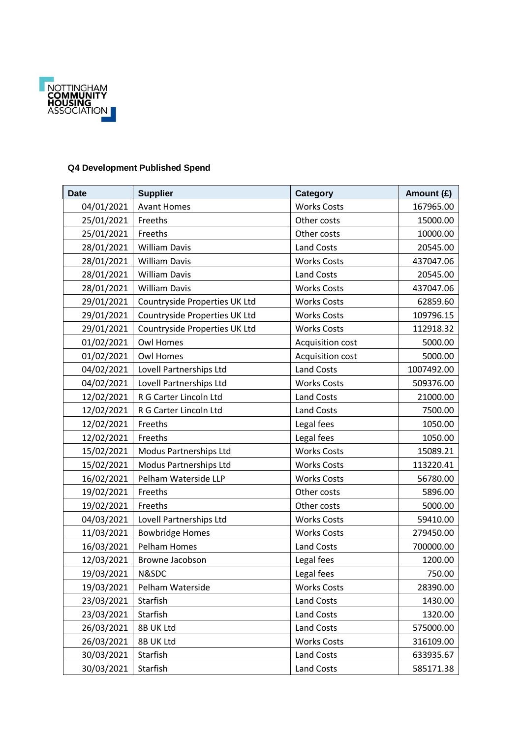

## **Q4 Development Published Spend**

| <b>Date</b> | <b>Supplier</b>               | Category                | Amount (£) |
|-------------|-------------------------------|-------------------------|------------|
| 04/01/2021  | <b>Avant Homes</b>            | <b>Works Costs</b>      | 167965.00  |
| 25/01/2021  | Freeths                       | Other costs             | 15000.00   |
| 25/01/2021  | Freeths                       | Other costs             | 10000.00   |
| 28/01/2021  | <b>William Davis</b>          | <b>Land Costs</b>       | 20545.00   |
| 28/01/2021  | <b>William Davis</b>          | <b>Works Costs</b>      | 437047.06  |
| 28/01/2021  | <b>William Davis</b>          | <b>Land Costs</b>       | 20545.00   |
| 28/01/2021  | <b>William Davis</b>          | <b>Works Costs</b>      | 437047.06  |
| 29/01/2021  | Countryside Properties UK Ltd | <b>Works Costs</b>      | 62859.60   |
| 29/01/2021  | Countryside Properties UK Ltd | <b>Works Costs</b>      | 109796.15  |
| 29/01/2021  | Countryside Properties UK Ltd | <b>Works Costs</b>      | 112918.32  |
| 01/02/2021  | <b>Owl Homes</b>              | Acquisition cost        | 5000.00    |
| 01/02/2021  | <b>Owl Homes</b>              | <b>Acquisition cost</b> | 5000.00    |
| 04/02/2021  | Lovell Partnerships Ltd       | <b>Land Costs</b>       | 1007492.00 |
| 04/02/2021  | Lovell Partnerships Ltd       | <b>Works Costs</b>      | 509376.00  |
| 12/02/2021  | R G Carter Lincoln Ltd        | <b>Land Costs</b>       | 21000.00   |
| 12/02/2021  | R G Carter Lincoln Ltd        | <b>Land Costs</b>       | 7500.00    |
| 12/02/2021  | Freeths                       | Legal fees              | 1050.00    |
| 12/02/2021  | Freeths                       | Legal fees              | 1050.00    |
| 15/02/2021  | Modus Partnerships Ltd        | <b>Works Costs</b>      | 15089.21   |
| 15/02/2021  | Modus Partnerships Ltd        | <b>Works Costs</b>      | 113220.41  |
| 16/02/2021  | Pelham Waterside LLP          | <b>Works Costs</b>      | 56780.00   |
| 19/02/2021  | Freeths                       | Other costs             | 5896.00    |
| 19/02/2021  | Freeths                       | Other costs             | 5000.00    |
| 04/03/2021  | Lovell Partnerships Ltd       | <b>Works Costs</b>      | 59410.00   |
| 11/03/2021  | <b>Bowbridge Homes</b>        | <b>Works Costs</b>      | 279450.00  |
| 16/03/2021  | Pelham Homes                  | <b>Land Costs</b>       | 700000.00  |
| 12/03/2021  | Browne Jacobson               | Legal fees              | 1200.00    |
| 19/03/2021  | N&SDC                         | Legal fees              | 750.00     |
| 19/03/2021  | Pelham Waterside              | <b>Works Costs</b>      | 28390.00   |
| 23/03/2021  | Starfish                      | <b>Land Costs</b>       | 1430.00    |
| 23/03/2021  | Starfish                      | <b>Land Costs</b>       | 1320.00    |
| 26/03/2021  | 8B UK Ltd                     | Land Costs              | 575000.00  |
| 26/03/2021  | 8B UK Ltd                     | <b>Works Costs</b>      | 316109.00  |
| 30/03/2021  | Starfish                      | <b>Land Costs</b>       | 633935.67  |
| 30/03/2021  | Starfish                      | Land Costs              | 585171.38  |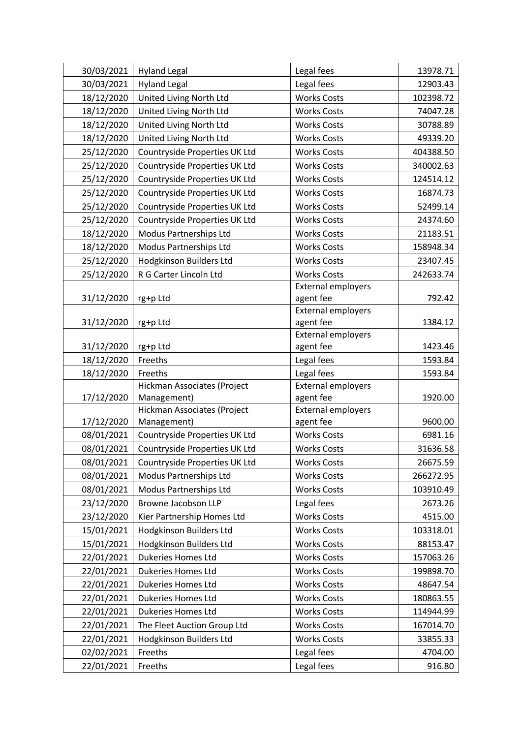| 30/03/2021 | <b>Hyland Legal</b>                        | Legal fees                             | 13978.71  |
|------------|--------------------------------------------|----------------------------------------|-----------|
| 30/03/2021 | <b>Hyland Legal</b>                        | Legal fees                             | 12903.43  |
| 18/12/2020 | United Living North Ltd                    | <b>Works Costs</b>                     | 102398.72 |
| 18/12/2020 | United Living North Ltd                    | <b>Works Costs</b>                     | 74047.28  |
| 18/12/2020 | United Living North Ltd                    | <b>Works Costs</b>                     | 30788.89  |
| 18/12/2020 | United Living North Ltd                    | <b>Works Costs</b>                     | 49339.20  |
| 25/12/2020 | Countryside Properties UK Ltd              | <b>Works Costs</b>                     | 404388.50 |
| 25/12/2020 | Countryside Properties UK Ltd              | <b>Works Costs</b>                     | 340002.63 |
| 25/12/2020 | Countryside Properties UK Ltd              | <b>Works Costs</b>                     | 124514.12 |
| 25/12/2020 | Countryside Properties UK Ltd              | <b>Works Costs</b>                     | 16874.73  |
| 25/12/2020 | Countryside Properties UK Ltd              | <b>Works Costs</b>                     | 52499.14  |
| 25/12/2020 | Countryside Properties UK Ltd              | <b>Works Costs</b>                     | 24374.60  |
| 18/12/2020 | Modus Partnerships Ltd                     | <b>Works Costs</b>                     | 21183.51  |
| 18/12/2020 | Modus Partnerships Ltd                     | <b>Works Costs</b>                     | 158948.34 |
| 25/12/2020 | Hodgkinson Builders Ltd                    | <b>Works Costs</b>                     | 23407.45  |
| 25/12/2020 | R G Carter Lincoln Ltd                     | <b>Works Costs</b>                     | 242633.74 |
|            |                                            | <b>External employers</b>              |           |
| 31/12/2020 | rg+p Ltd                                   | agent fee                              | 792.42    |
|            |                                            | <b>External employers</b>              |           |
| 31/12/2020 | rg+p Ltd                                   | agent fee                              | 1384.12   |
|            |                                            | <b>External employers</b>              |           |
| 31/12/2020 | rg+p Ltd                                   | agent fee                              | 1423.46   |
| 18/12/2020 | Freeths                                    | Legal fees                             | 1593.84   |
| 18/12/2020 | Freeths                                    | Legal fees                             | 1593.84   |
|            | Hickman Associates (Project                | <b>External employers</b>              |           |
| 17/12/2020 | Management)<br>Hickman Associates (Project | agent fee<br><b>External employers</b> | 1920.00   |
| 17/12/2020 | Management)                                | agent fee                              | 9600.00   |
| 08/01/2021 | Countryside Properties UK Ltd              | <b>Works Costs</b>                     | 6981.16   |
| 08/01/2021 | Countryside Properties UK Ltd              | <b>Works Costs</b>                     | 31636.58  |
| 08/01/2021 | Countryside Properties UK Ltd              | <b>Works Costs</b>                     | 26675.59  |
| 08/01/2021 | Modus Partnerships Ltd                     | <b>Works Costs</b>                     | 266272.95 |
| 08/01/2021 | Modus Partnerships Ltd                     | <b>Works Costs</b>                     | 103910.49 |
| 23/12/2020 | Browne Jacobson LLP                        | Legal fees                             | 2673.26   |
| 23/12/2020 | Kier Partnership Homes Ltd                 | <b>Works Costs</b>                     | 4515.00   |
| 15/01/2021 | Hodgkinson Builders Ltd                    | <b>Works Costs</b>                     | 103318.01 |
| 15/01/2021 | Hodgkinson Builders Ltd                    | <b>Works Costs</b>                     | 88153.47  |
| 22/01/2021 | <b>Dukeries Homes Ltd</b>                  | <b>Works Costs</b>                     | 157063.26 |
| 22/01/2021 | <b>Dukeries Homes Ltd</b>                  | <b>Works Costs</b>                     |           |
|            |                                            |                                        | 199898.70 |
| 22/01/2021 | <b>Dukeries Homes Ltd</b>                  | <b>Works Costs</b>                     | 48647.54  |
| 22/01/2021 | <b>Dukeries Homes Ltd</b>                  | <b>Works Costs</b>                     | 180863.55 |
| 22/01/2021 | Dukeries Homes Ltd                         | <b>Works Costs</b>                     | 114944.99 |
| 22/01/2021 | The Fleet Auction Group Ltd                | <b>Works Costs</b>                     | 167014.70 |
| 22/01/2021 | Hodgkinson Builders Ltd                    | <b>Works Costs</b>                     | 33855.33  |
| 02/02/2021 | Freeths                                    | Legal fees                             | 4704.00   |
| 22/01/2021 | Freeths                                    | Legal fees                             | 916.80    |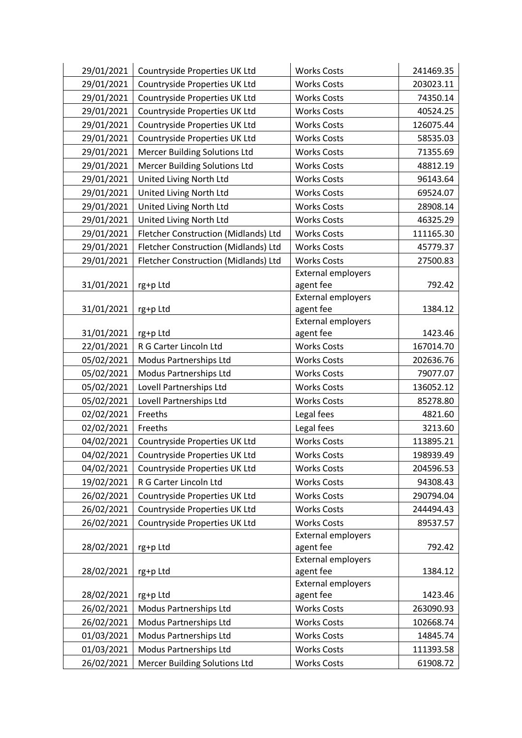| 29/01/2021<br>Countryside Properties UK Ltd<br><b>Works Costs</b>        | 241469.35 |
|--------------------------------------------------------------------------|-----------|
| 29/01/2021<br>Countryside Properties UK Ltd<br><b>Works Costs</b>        | 203023.11 |
| 29/01/2021<br>Countryside Properties UK Ltd<br><b>Works Costs</b>        | 74350.14  |
| 29/01/2021<br>Countryside Properties UK Ltd<br><b>Works Costs</b>        | 40524.25  |
| 29/01/2021<br>Countryside Properties UK Ltd<br><b>Works Costs</b>        | 126075.44 |
| 29/01/2021<br>Countryside Properties UK Ltd<br><b>Works Costs</b>        | 58535.03  |
| 29/01/2021<br><b>Mercer Building Solutions Ltd</b><br><b>Works Costs</b> | 71355.69  |
| 29/01/2021<br><b>Mercer Building Solutions Ltd</b><br><b>Works Costs</b> | 48812.19  |
| 29/01/2021<br>United Living North Ltd<br><b>Works Costs</b>              | 96143.64  |
| 29/01/2021<br>United Living North Ltd<br><b>Works Costs</b>              | 69524.07  |
| 29/01/2021<br>United Living North Ltd<br><b>Works Costs</b>              | 28908.14  |
| 29/01/2021<br>United Living North Ltd<br><b>Works Costs</b>              | 46325.29  |
| 29/01/2021<br>Fletcher Construction (Midlands) Ltd<br><b>Works Costs</b> | 111165.30 |
| 29/01/2021<br>Fletcher Construction (Midlands) Ltd<br><b>Works Costs</b> | 45779.37  |
| 29/01/2021<br>Fletcher Construction (Midlands) Ltd<br><b>Works Costs</b> | 27500.83  |
| <b>External employers</b>                                                |           |
| 31/01/2021<br>agent fee<br>rg+p Ltd                                      | 792.42    |
| External employers                                                       |           |
| agent fee<br>31/01/2021<br>rg+p Ltd                                      | 1384.12   |
| <b>External employers</b>                                                |           |
| 31/01/2021<br>agent fee<br>rg+p Ltd                                      | 1423.46   |
| 22/01/2021<br>R G Carter Lincoln Ltd<br><b>Works Costs</b>               | 167014.70 |
| 05/02/2021<br>Modus Partnerships Ltd<br><b>Works Costs</b>               | 202636.76 |
| 05/02/2021<br>Modus Partnerships Ltd<br><b>Works Costs</b>               | 79077.07  |
| Lovell Partnerships Ltd<br>05/02/2021<br><b>Works Costs</b>              | 136052.12 |
| 05/02/2021<br>Lovell Partnerships Ltd<br><b>Works Costs</b>              | 85278.80  |
| 02/02/2021<br>Freeths<br>Legal fees                                      | 4821.60   |
| 02/02/2021<br>Legal fees<br>Freeths                                      | 3213.60   |
| 04/02/2021<br>Countryside Properties UK Ltd<br><b>Works Costs</b>        | 113895.21 |
| 04/02/2021<br>Countryside Properties UK Ltd<br><b>Works Costs</b>        | 198939.49 |
| 04/02/2021<br>Countryside Properties UK Ltd<br><b>Works Costs</b>        | 204596.53 |
| 19/02/2021<br>R G Carter Lincoln Ltd<br><b>Works Costs</b>               | 94308.43  |
| 26/02/2021<br>Countryside Properties UK Ltd<br><b>Works Costs</b>        | 290794.04 |
| 26/02/2021<br>Countryside Properties UK Ltd<br><b>Works Costs</b>        | 244494.43 |
| Countryside Properties UK Ltd<br><b>Works Costs</b><br>26/02/2021        | 89537.57  |
| <b>External employers</b>                                                |           |
| agent fee<br>28/02/2021<br>rg+p Ltd                                      | 792.42    |
| <b>External employers</b>                                                |           |
| agent fee<br>28/02/2021<br>rg+p Ltd                                      | 1384.12   |
| <b>External employers</b><br>agent fee<br>28/02/2021<br>rg+p Ltd         | 1423.46   |
| 26/02/2021<br><b>Works Costs</b><br>Modus Partnerships Ltd               | 263090.93 |
| 26/02/2021<br>Modus Partnerships Ltd<br><b>Works Costs</b>               | 102668.74 |
| 01/03/2021<br>Modus Partnerships Ltd<br><b>Works Costs</b>               | 14845.74  |
| Modus Partnerships Ltd<br>01/03/2021<br><b>Works Costs</b>               | 111393.58 |
| 26/02/2021<br><b>Mercer Building Solutions Ltd</b><br><b>Works Costs</b> | 61908.72  |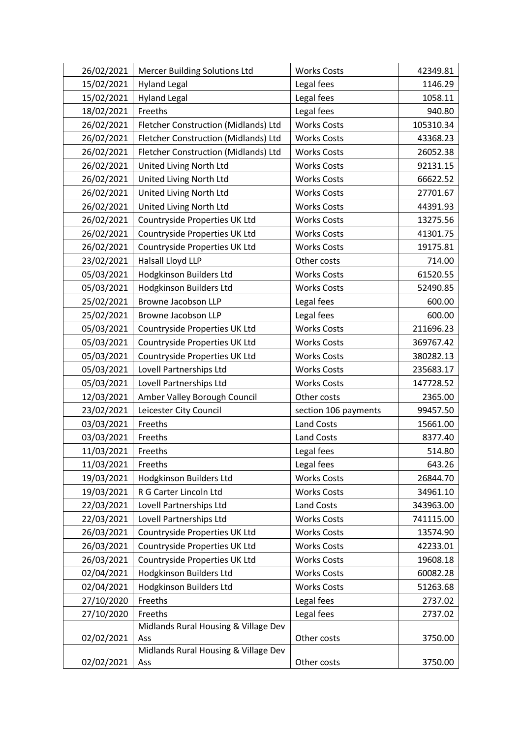| 26/02/2021 | Mercer Building Solutions Ltd        | <b>Works Costs</b>   | 42349.81  |
|------------|--------------------------------------|----------------------|-----------|
| 15/02/2021 | <b>Hyland Legal</b>                  | Legal fees           | 1146.29   |
| 15/02/2021 | <b>Hyland Legal</b>                  | Legal fees           | 1058.11   |
| 18/02/2021 | Freeths                              | Legal fees           | 940.80    |
| 26/02/2021 | Fletcher Construction (Midlands) Ltd | <b>Works Costs</b>   | 105310.34 |
| 26/02/2021 | Fletcher Construction (Midlands) Ltd | <b>Works Costs</b>   | 43368.23  |
| 26/02/2021 | Fletcher Construction (Midlands) Ltd | <b>Works Costs</b>   | 26052.38  |
| 26/02/2021 | United Living North Ltd              | <b>Works Costs</b>   | 92131.15  |
| 26/02/2021 | United Living North Ltd              | <b>Works Costs</b>   | 66622.52  |
| 26/02/2021 | United Living North Ltd              | <b>Works Costs</b>   | 27701.67  |
| 26/02/2021 | United Living North Ltd              | <b>Works Costs</b>   | 44391.93  |
| 26/02/2021 | Countryside Properties UK Ltd        | <b>Works Costs</b>   | 13275.56  |
| 26/02/2021 | Countryside Properties UK Ltd        | <b>Works Costs</b>   | 41301.75  |
| 26/02/2021 | Countryside Properties UK Ltd        | <b>Works Costs</b>   | 19175.81  |
| 23/02/2021 | Halsall Lloyd LLP                    | Other costs          | 714.00    |
| 05/03/2021 | Hodgkinson Builders Ltd              | <b>Works Costs</b>   | 61520.55  |
| 05/03/2021 | Hodgkinson Builders Ltd              | <b>Works Costs</b>   | 52490.85  |
| 25/02/2021 | Browne Jacobson LLP                  | Legal fees           | 600.00    |
| 25/02/2021 | Browne Jacobson LLP                  | Legal fees           | 600.00    |
| 05/03/2021 | Countryside Properties UK Ltd        | <b>Works Costs</b>   | 211696.23 |
| 05/03/2021 | Countryside Properties UK Ltd        | <b>Works Costs</b>   | 369767.42 |
| 05/03/2021 | Countryside Properties UK Ltd        | <b>Works Costs</b>   | 380282.13 |
| 05/03/2021 | Lovell Partnerships Ltd              | <b>Works Costs</b>   | 235683.17 |
| 05/03/2021 | Lovell Partnerships Ltd              | <b>Works Costs</b>   | 147728.52 |
| 12/03/2021 | Amber Valley Borough Council         | Other costs          | 2365.00   |
| 23/02/2021 | Leicester City Council               | section 106 payments | 99457.50  |
| 03/03/2021 | Freeths                              | <b>Land Costs</b>    | 15661.00  |
| 03/03/2021 | Freeths                              | <b>Land Costs</b>    | 8377.40   |
| 11/03/2021 | Freeths                              | Legal fees           | 514.80    |
| 11/03/2021 | Freeths                              | Legal fees           | 643.26    |
| 19/03/2021 | <b>Hodgkinson Builders Ltd</b>       | <b>Works Costs</b>   | 26844.70  |
| 19/03/2021 | R G Carter Lincoln Ltd               | <b>Works Costs</b>   | 34961.10  |
| 22/03/2021 | Lovell Partnerships Ltd              | Land Costs           | 343963.00 |
| 22/03/2021 | Lovell Partnerships Ltd              | <b>Works Costs</b>   | 741115.00 |
| 26/03/2021 | Countryside Properties UK Ltd        | <b>Works Costs</b>   | 13574.90  |
| 26/03/2021 | Countryside Properties UK Ltd        | <b>Works Costs</b>   | 42233.01  |
| 26/03/2021 | Countryside Properties UK Ltd        | <b>Works Costs</b>   | 19608.18  |
| 02/04/2021 | Hodgkinson Builders Ltd              | <b>Works Costs</b>   | 60082.28  |
| 02/04/2021 | Hodgkinson Builders Ltd              | <b>Works Costs</b>   | 51263.68  |
| 27/10/2020 | Freeths                              | Legal fees           | 2737.02   |
| 27/10/2020 | Freeths                              | Legal fees           | 2737.02   |
|            | Midlands Rural Housing & Village Dev |                      |           |
| 02/02/2021 | Ass                                  | Other costs          | 3750.00   |
|            | Midlands Rural Housing & Village Dev |                      |           |
| 02/02/2021 | Ass                                  | Other costs          | 3750.00   |